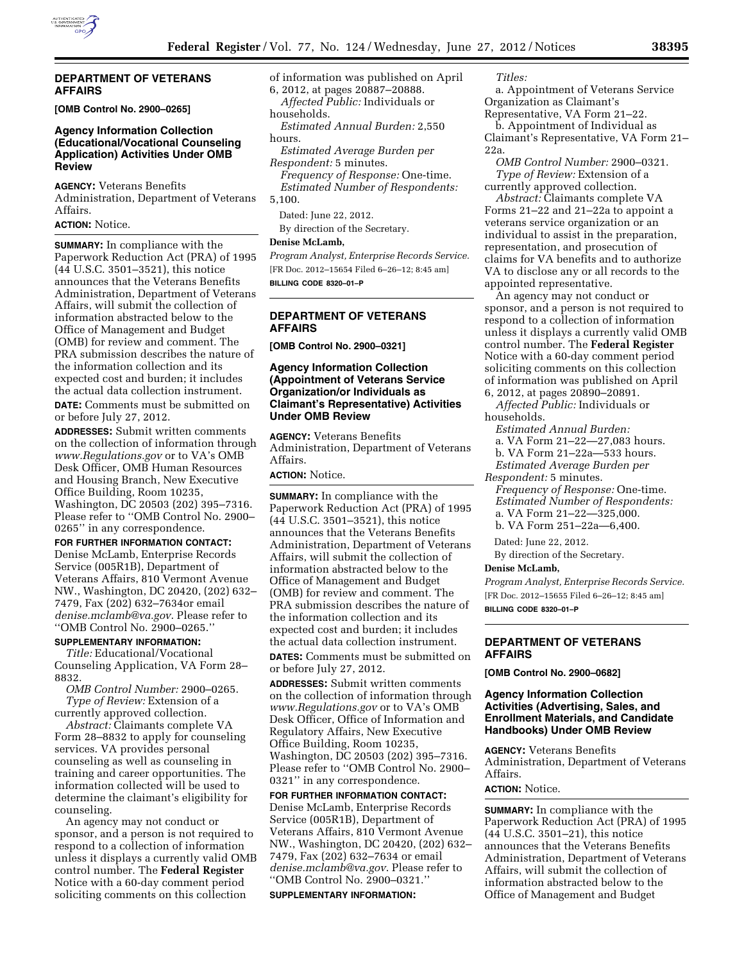### **DEPARTMENT OF VETERANS AFFAIRS**

**[OMB Control No. 2900–0265]** 

### **Agency Information Collection (Educational/Vocational Counseling Application) Activities Under OMB Review**

**AGENCY:** Veterans Benefits Administration, Department of Veterans Affairs.

### **ACTION:** Notice.

**SUMMARY:** In compliance with the Paperwork Reduction Act (PRA) of 1995 (44 U.S.C. 3501–3521), this notice announces that the Veterans Benefits Administration, Department of Veterans Affairs, will submit the collection of information abstracted below to the Office of Management and Budget (OMB) for review and comment. The PRA submission describes the nature of the information collection and its expected cost and burden; it includes the actual data collection instrument. **DATE:** Comments must be submitted on or before July 27, 2012.

**ADDRESSES:** Submit written comments on the collection of information through *[www.Regulations.gov](http://www.Regulations.gov)* or to VA's OMB Desk Officer, OMB Human Resources and Housing Branch, New Executive Office Building, Room 10235, Washington, DC 20503 (202) 395–7316. Please refer to ''OMB Control No. 2900– 0265'' in any correspondence.

**FOR FURTHER INFORMATION CONTACT:**  Denise McLamb, Enterprise Records Service (005R1B), Department of Veterans Affairs, 810 Vermont Avenue NW., Washington, DC 20420, (202) 632– 7479, Fax (202) 632–7634or email *[denise.mclamb@va.gov](mailto:denise.mclamb@va.gov)*. Please refer to ''OMB Control No. 2900–0265.''

### **SUPPLEMENTARY INFORMATION:**

*Title:* Educational/Vocational Counseling Application, VA Form 28– 8832.

*OMB Control Number:* 2900–0265. *Type of Review:* Extension of a currently approved collection.

*Abstract:* Claimants complete VA Form 28–8832 to apply for counseling services. VA provides personal counseling as well as counseling in training and career opportunities. The information collected will be used to determine the claimant's eligibility for counseling.

An agency may not conduct or sponsor, and a person is not required to respond to a collection of information unless it displays a currently valid OMB control number. The **Federal Register**  Notice with a 60-day comment period soliciting comments on this collection

of information was published on April

6, 2012, at pages 20887–20888. *Affected Public:* Individuals or

households.

*Estimated Annual Burden:* 2,550 hours.

*Estimated Average Burden per Respondent:* 5 minutes. *Frequency of Response:* One-time. *Estimated Number of Respondents:*  5,100.

Dated: June 22, 2012.

By direction of the Secretary.

## **Denise McLamb,**

*Program Analyst, Enterprise Records Service.*  [FR Doc. 2012–15654 Filed 6–26–12; 8:45 am] **BILLING CODE 8320–01–P** 

### **DEPARTMENT OF VETERANS AFFAIRS**

**[OMB Control No. 2900–0321]** 

### **Agency Information Collection (Appointment of Veterans Service Organization/or Individuals as Claimant's Representative) Activities Under OMB Review**

**AGENCY:** Veterans Benefits Administration, Department of Veterans Affairs.

## **ACTION:** Notice.

**SUMMARY:** In compliance with the Paperwork Reduction Act (PRA) of 1995 (44 U.S.C. 3501–3521), this notice announces that the Veterans Benefits Administration, Department of Veterans Affairs, will submit the collection of information abstracted below to the Office of Management and Budget (OMB) for review and comment. The PRA submission describes the nature of the information collection and its expected cost and burden; it includes the actual data collection instrument.

**DATES:** Comments must be submitted on or before July 27, 2012.

**ADDRESSES:** Submit written comments on the collection of information through *[www.Regulations.gov](http://www.Regulations.gov)* or to VA's OMB Desk Officer, Office of Information and Regulatory Affairs, New Executive Office Building, Room 10235, Washington, DC 20503 (202) 395–7316. Please refer to ''OMB Control No. 2900– 0321'' in any correspondence.

**FOR FURTHER INFORMATION CONTACT:**  Denise McLamb, Enterprise Records Service (005R1B), Department of Veterans Affairs, 810 Vermont Avenue NW., Washington, DC 20420, (202) 632– 7479, Fax (202) 632–7634 or email *[denise.mclamb@va.gov](mailto:denise.mclamb@va.gov)*. Please refer to ''OMB Control No. 2900–0321.'' **SUPPLEMENTARY INFORMATION:** 

*Titles:* 

a. Appointment of Veterans Service Organization as Claimant's

Representative, VA Form 21–22. b. Appointment of Individual as Claimant's Representative, VA Form 21– 22a.

*OMB Control Number:* 2900–0321. *Type of Review:* Extension of a currently approved collection.

*Abstract:* Claimants complete VA Forms 21–22 and 21–22a to appoint a veterans service organization or an individual to assist in the preparation, representation, and prosecution of claims for VA benefits and to authorize VA to disclose any or all records to the appointed representative.

An agency may not conduct or sponsor, and a person is not required to respond to a collection of information unless it displays a currently valid OMB control number. The **Federal Register**  Notice with a 60-day comment period soliciting comments on this collection of information was published on April 6, 2012, at pages 20890–20891.

*Affected Public:* Individuals or

households.

*Estimated Annual Burden:* 

- a. VA Form 21–22—27,083 hours.
- b. VA Form 21–22a—533 hours.
- *Estimated Average Burden per*

*Respondent:* 5 minutes.

*Frequency of Response:* One-time. *Estimated Number of Respondents:*  a. VA Form 21–22—325,000.

b. VA Form 251–22a—6,400.

Dated: June 22, 2012.

By direction of the Secretary.

### **Denise McLamb,**

*Program Analyst, Enterprise Records Service.*  [FR Doc. 2012–15655 Filed 6–26–12; 8:45 am] **BILLING CODE 8320–01–P** 

### **DEPARTMENT OF VETERANS AFFAIRS**

**[OMB Control No. 2900–0682]** 

### **Agency Information Collection Activities (Advertising, Sales, and Enrollment Materials, and Candidate Handbooks) Under OMB Review**

**AGENCY:** Veterans Benefits Administration, Department of Veterans Affairs.

## **ACTION:** Notice.

**SUMMARY:** In compliance with the Paperwork Reduction Act (PRA) of 1995 (44 U.S.C. 3501–21), this notice announces that the Veterans Benefits Administration, Department of Veterans Affairs, will submit the collection of information abstracted below to the Office of Management and Budget